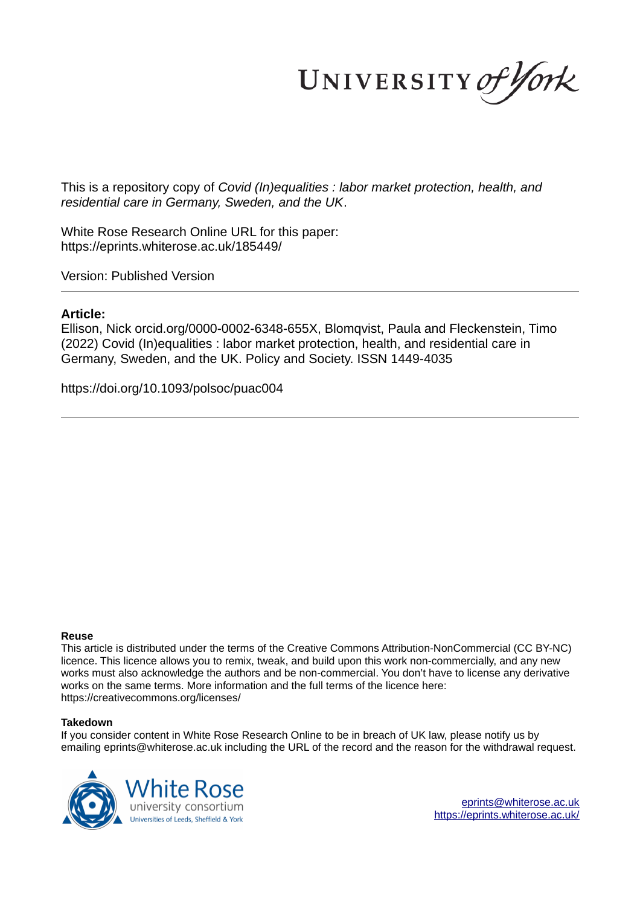UNIVERSITY of York

This is a repository copy of *Covid (In)equalities : labor market protection, health, and residential care in Germany, Sweden, and the UK*.

White Rose Research Online URL for this paper: https://eprints.whiterose.ac.uk/185449/

Version: Published Version

# **Article:**

Ellison, Nick orcid.org/0000-0002-6348-655X, Blomqvist, Paula and Fleckenstein, Timo (2022) Covid (In)equalities : labor market protection, health, and residential care in Germany, Sweden, and the UK. Policy and Society. ISSN 1449-4035

https://doi.org/10.1093/polsoc/puac004

#### **Reuse**

This article is distributed under the terms of the Creative Commons Attribution-NonCommercial (CC BY-NC) licence. This licence allows you to remix, tweak, and build upon this work non-commercially, and any new works must also acknowledge the authors and be non-commercial. You don't have to license any derivative works on the same terms. More information and the full terms of the licence here: https://creativecommons.org/licenses/

## **Takedown**

If you consider content in White Rose Research Online to be in breach of UK law, please notify us by emailing eprints@whiterose.ac.uk including the URL of the record and the reason for the withdrawal request.



eprints@whiterose.ac.uk https://eprints.whiterose.ac.uk/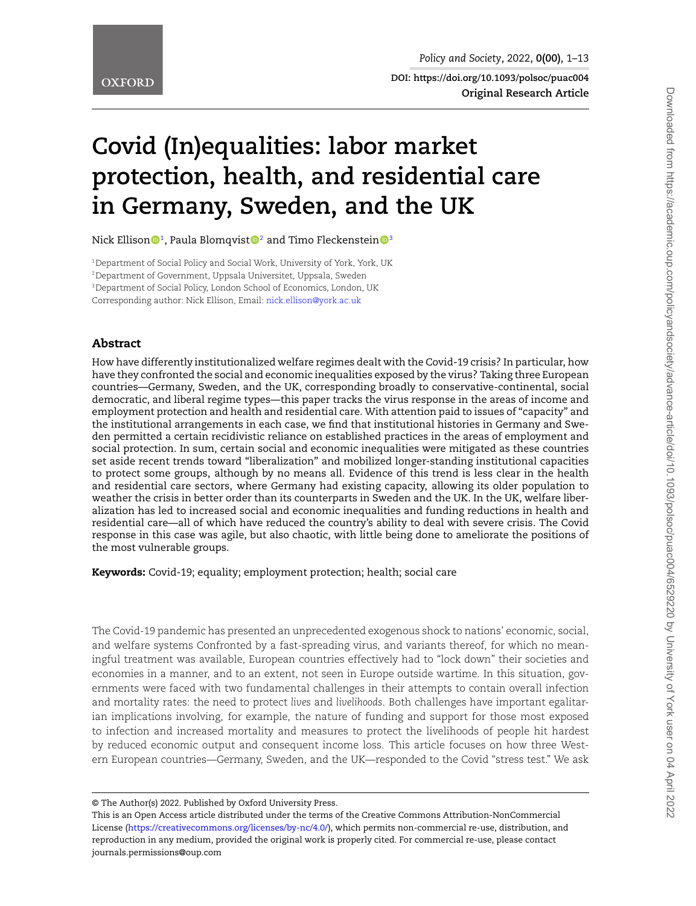**DOI: https://doi.org/10.1093/polsoc/puac004 Original Research Article**

# **Covid (In)equalities: labor market protection, health, and residential care in Germany, Sweden, and the UK**

Nick Ellison $\mathbf{0}^1$ , Paula Blomqvist $\mathbf{0}^2$  and Timo Fleckenstein $\mathbf{0}^3$ 

<sup>1</sup>Department of Social Policy and Social Work, University of York, York, UK <sup>2</sup>Department of Government, Uppsala Universitet, Uppsala, Sweden <sup>3</sup>Department of Social Policy, London School of Economics, London, UK Corresponding author: Nick Ellison, Email: nick.ellison@york.ac.uk

#### Abstract

How have differently institutionalized welfare regimes dealt with the Covid-19 crisis? In particular, how have they confronted the social and economic inequalities exposed by the virus? Taking three European countries—Germany, Sweden, and the UK, corresponding broadly to conservative-continental, social democratic, and liberal regime types—this paper tracks the virus response in the areas of income and employment protection and health and residential care. With attention paid to issues of "capacity" and the institutional arrangements in each case, we find that institutional histories in Germany and Sweden permitted a certain recidivistic reliance on established practices in the areas of employment and social protection. In sum, certain social and economic inequalities were mitigated as these countries set aside recent trends toward "liberalization" and mobilized longer-standing institutional capacities to protect some groups, although by no means all. Evidence of this trend is less clear in the health and residential care sectors, where Germany had existing capacity, allowing its older population to weather the crisis in better order than its counterparts in Sweden and the UK. In the UK, welfare liberalization has led to increased social and economic inequalities and funding reductions in health and residential care—all of which have reduced the country's ability to deal with severe crisis. The Covid response in this case was agile, but also chaotic, with little being done to ameliorate the positions of the most vulnerable groups.

Keywords: Covid-19; equality; employment protection; health; social care

The Covid-19 pandemic has presented an unprecedented exogenous shock to nations' economic, social, and welfare systems Confronted by a fast-spreading virus, and variants thereof, for which no meaningful treatment was available, European countries effectively had to "lock down" their societies and economies in a manner, and to an extent, not seen in Europe outside wartime. In this situation, governments were faced with two fundamental challenges in their attempts to contain overall infection and mortality rates: the need to protect *lives* and *livelihoods*. Both challenges have important egalitarian implications involving, for example, the nature of funding and support for those most exposed to infection and increased mortality and measures to protect the livelihoods of people hit hardest by reduced economic output and consequent income loss. This article focuses on how three Western European countries—Germany, Sweden, and the UK—responded to the Covid "stress test." We ask

<sup>©</sup> The Author(s) 2022. Published by Oxford University Press.

This is an Open Access article distributed under the terms of the Creative Commons Attribution-NonCommercial License (https://creativecommons.org/licenses/by-nc/4.0/), which permits non-commercial re-use, distribution, and reproduction in any medium, provided the original work is properly cited. For commercial re-use, please contact journals.permissions@oup.com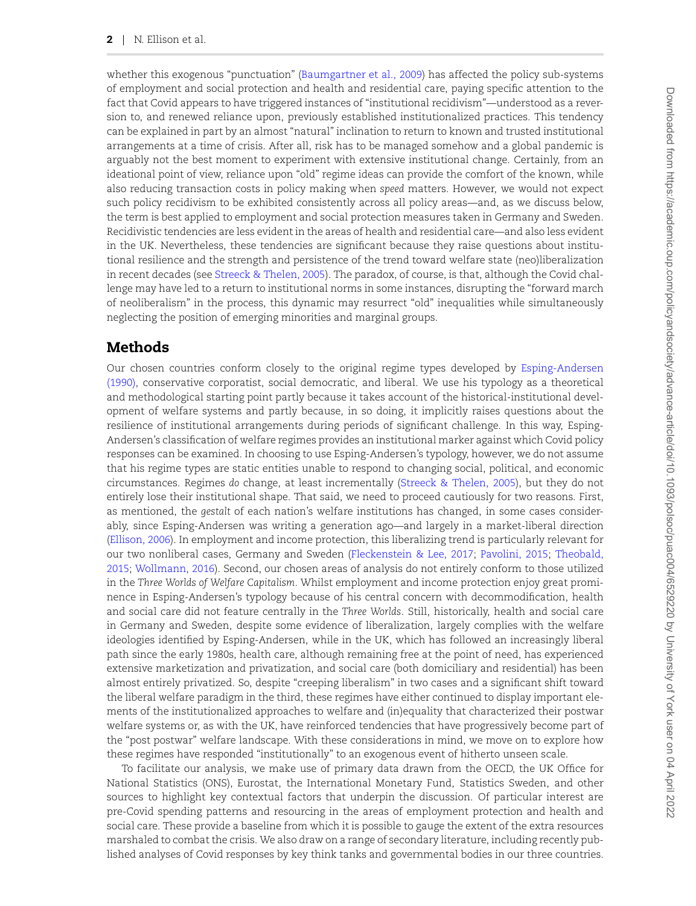whether this exogenous "punctuation" (Baumgartner et al., 2009) has affected the policy sub-systems of employment and social protection and health and residential care, paying specific attention to the fact that Covid appears to have triggered instances of "institutional recidivism"—understood as a reversion to, and renewed reliance upon, previously established institutionalized practices. This tendency can be explained in part by an almost "natural" inclination to return to known and trusted institutional arrangements at a time of crisis. After all, risk has to be managed somehow and a global pandemic is arguably not the best moment to experiment with extensive institutional change. Certainly, from an ideational point of view, reliance upon "old" regime ideas can provide the comfort of the known, while also reducing transaction costs in policy making when *speed* matters. However, we would not expect such policy recidivism to be exhibited consistently across all policy areas—and, as we discuss below, the term is best applied to employment and social protection measures taken in Germany and Sweden. Recidivistic tendencies are less evident in the areas of health and residential care—and also less evident in the UK. Nevertheless, these tendencies are significant because they raise questions about institutional resilience and the strength and persistence of the trend toward welfare state (neo)liberalization in recent decades (see Streeck & Thelen, 2005). The paradox, of course, is that, although the Covid challenge may have led to a return to institutional norms in some instances, disrupting the "forward march of neoliberalism" in the process, this dynamic may resurrect "old" inequalities while simultaneously neglecting the position of emerging minorities and marginal groups.

#### Methods

Our chosen countries conform closely to the original regime types developed by Esping-Andersen (1990), conservative corporatist, social democratic, and liberal. We use his typology as a theoretical and methodological starting point partly because it takes account of the historical-institutional development of welfare systems and partly because, in so doing, it implicitly raises questions about the resilience of institutional arrangements during periods of significant challenge. In this way, Esping-Andersen's classification of welfare regimes provides an institutional marker against which Covid policy responses can be examined. In choosing to use Esping-Andersen's typology, however, we do not assume that his regime types are static entities unable to respond to changing social, political, and economic circumstances. Regimes *do* change, at least incrementally (Streeck & Thelen, 2005), but they do not entirely lose their institutional shape. That said, we need to proceed cautiously for two reasons. First, as mentioned, the *gestalt* of each nation's welfare institutions has changed, in some cases considerably, since Esping-Andersen was writing a generation ago—and largely in a market-liberal direction (Ellison, 2006). In employment and income protection, this liberalizing trend is particularly relevant for our two nonliberal cases, Germany and Sweden (Fleckenstein & Lee, 2017; Pavolini, 2015; Theobald, 2015; Wollmann, 2016). Second, our chosen areas of analysis do not entirely conform to those utilized in the *Three Worlds of Welfare Capitalism*. Whilst employment and income protection enjoy great prominence in Esping-Andersen's typology because of his central concern with decommodification, health and social care did not feature centrally in the *Three Worlds*. Still, historically, health and social care in Germany and Sweden, despite some evidence of liberalization, largely complies with the welfare ideologies identified by Esping-Andersen, while in the UK, which has followed an increasingly liberal path since the early 1980s, health care, although remaining free at the point of need, has experienced extensive marketization and privatization, and social care (both domiciliary and residential) has been almost entirely privatized. So, despite "creeping liberalism" in two cases and a significant shift toward the liberal welfare paradigm in the third, these regimes have either continued to display important elements of the institutionalized approaches to welfare and (in)equality that characterized their postwar welfare systems or, as with the UK, have reinforced tendencies that have progressively become part of the "post postwar" welfare landscape. With these considerations in mind, we move on to explore how these regimes have responded "institutionally" to an exogenous event of hitherto unseen scale.

To facilitate our analysis, we make use of primary data drawn from the OECD, the UK Office for National Statistics (ONS), Eurostat, the International Monetary Fund, Statistics Sweden, and other sources to highlight key contextual factors that underpin the discussion. Of particular interest are pre-Covid spending patterns and resourcing in the areas of employment protection and health and social care. These provide a baseline from which it is possible to gauge the extent of the extra resources marshaled to combat the crisis. We also draw on a range of secondary literature, including recently published analyses of Covid responses by key think tanks and governmental bodies in our three countries.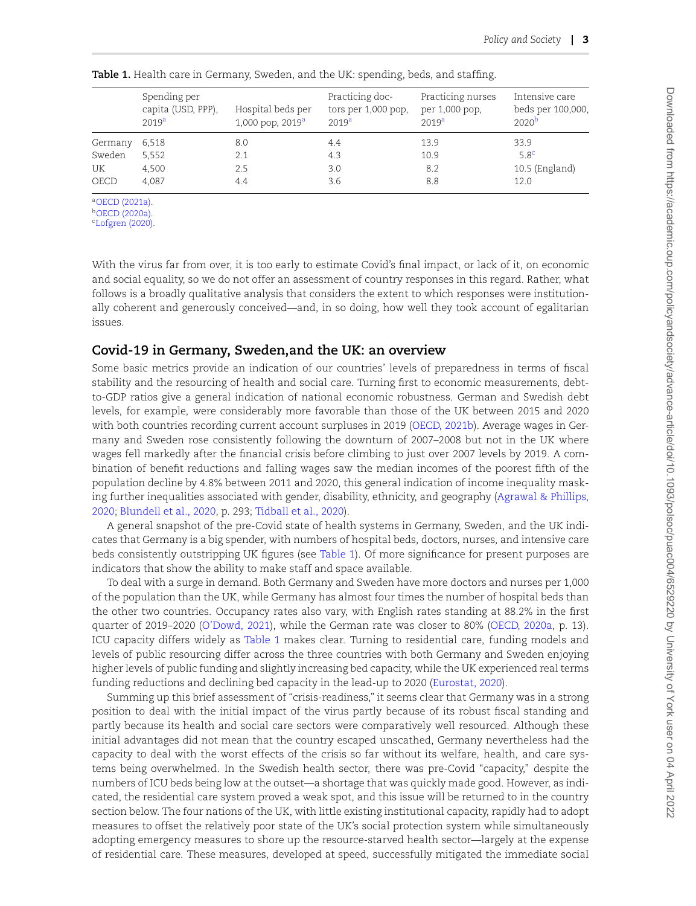|         | Spending per<br>capita (USD, PPP),<br>2019 <sup>a</sup> | Hospital beds per<br>1,000 pop, $2019^a$ | Practicing doc-<br>tors per 1,000 pop,<br>2019 <sup>a</sup> | Practicing nurses<br>per 1,000 pop,<br>2019 <sup>a</sup> | Intensive care<br>beds per 100,000,<br>2020 <sup>b</sup> |
|---------|---------------------------------------------------------|------------------------------------------|-------------------------------------------------------------|----------------------------------------------------------|----------------------------------------------------------|
| Germany | 6,518                                                   | 8.0                                      | 4.4                                                         | 13.9                                                     | 33.9                                                     |
| Sweden  | 5,552                                                   | 2.1                                      | 4.3                                                         | 10.9                                                     | 5.8 <sup>c</sup>                                         |
| UK      | 4,500                                                   | 2.5                                      | 3.0                                                         | 8.2                                                      | 10.5 (England)                                           |
| OECD    | 4.087                                                   | 4.4                                      | 3.6                                                         | 8.8                                                      | 12.0                                                     |

**Table 1.** Health care in Germany, Sweden, and the UK: spending, beds, and staffing.

<sup>a</sup>OECD (2021a).

<sup>b</sup>OECD (2020a).

 $c$ Lofgren (2020).

With the virus far from over, it is too early to estimate Covid's final impact, or lack of it, on economic and social equality, so we do not offer an assessment of country responses in this regard. Rather, what follows is a broadly qualitative analysis that considers the extent to which responses were institutionally coherent and generously conceived—and, in so doing, how well they took account of egalitarian issues.

## **Covid-19 in Germany, Sweden,and the UK: an overview**

Some basic metrics provide an indication of our countries' levels of preparedness in terms of fiscal stability and the resourcing of health and social care. Turning first to economic measurements, debtto-GDP ratios give a general indication of national economic robustness. German and Swedish debt levels, for example, were considerably more favorable than those of the UK between 2015 and 2020 with both countries recording current account surpluses in 2019 (OECD, 2021b). Average wages in Germany and Sweden rose consistently following the downturn of 2007–2008 but not in the UK where wages fell markedly after the financial crisis before climbing to just over 2007 levels by 2019. A combination of benefit reductions and falling wages saw the median incomes of the poorest fifth of the population decline by 4.8% between 2011 and 2020, this general indication of income inequality masking further inequalities associated with gender, disability, ethnicity, and geography (Agrawal & Phillips, 2020; Blundell et al., 2020, p. 293; Tidball et al., 2020).

A general snapshot of the pre-Covid state of health systems in Germany, Sweden, and the UK indicates that Germany is a big spender, with numbers of hospital beds, doctors, nurses, and intensive care beds consistently outstripping UK figures (see Table 1). Of more significance for present purposes are indicators that show the ability to make staff and space available.

To deal with a surge in demand. Both Germany and Sweden have more doctors and nurses per 1,000 of the population than the UK, while Germany has almost four times the number of hospital beds than the other two countries. Occupancy rates also vary, with English rates standing at 88.2% in the first quarter of 2019–2020 (O'Dowd, 2021), while the German rate was closer to 80% (OECD, 2020a, p. 13). ICU capacity differs widely as Table 1 makes clear. Turning to residential care, funding models and levels of public resourcing differ across the three countries with both Germany and Sweden enjoying higher levels of public funding and slightly increasing bed capacity, while the UK experienced real terms funding reductions and declining bed capacity in the lead-up to 2020 (Eurostat, 2020).

Summing up this brief assessment of "crisis-readiness," it seems clear that Germany was in a strong position to deal with the initial impact of the virus partly because of its robust fiscal standing and partly because its health and social care sectors were comparatively well resourced. Although these initial advantages did not mean that the country escaped unscathed, Germany nevertheless had the capacity to deal with the worst effects of the crisis so far without its welfare, health, and care systems being overwhelmed. In the Swedish health sector, there was pre-Covid "capacity," despite the numbers of ICU beds being low at the outset—a shortage that was quickly made good. However, as indicated, the residential care system proved a weak spot, and this issue will be returned to in the country section below. The four nations of the UK, with little existing institutional capacity, rapidly had to adopt measures to offset the relatively poor state of the UK's social protection system while simultaneously adopting emergency measures to shore up the resource-starved health sector—largely at the expense of residential care. These measures, developed at speed, successfully mitigated the immediate social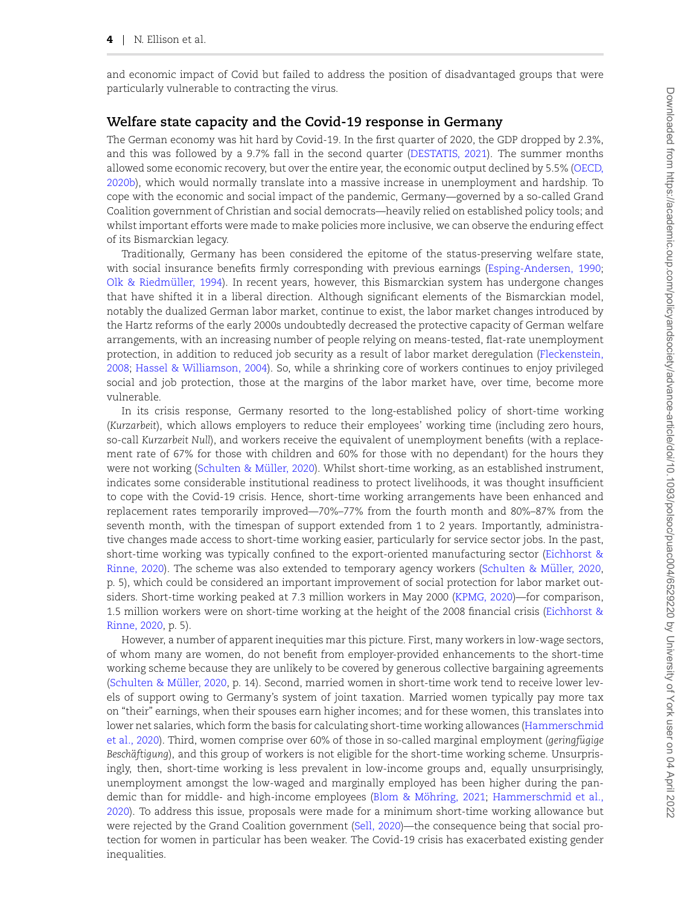and economic impact of Covid but failed to address the position of disadvantaged groups that were particularly vulnerable to contracting the virus.

#### **Welfare state capacity and the Covid-19 response in Germany**

The German economy was hit hard by Covid-19. In the first quarter of 2020, the GDP dropped by 2.3%, and this was followed by a 9.7% fall in the second quarter (DESTATIS, 2021). The summer months allowed some economic recovery, but over the entire year, the economic output declined by 5.5% (OECD, 2020b), which would normally translate into a massive increase in unemployment and hardship. To cope with the economic and social impact of the pandemic, Germany—governed by a so-called Grand Coalition government of Christian and social democrats—heavily relied on established policy tools; and whilst important efforts were made to make policies more inclusive, we can observe the enduring effect of its Bismarckian legacy.

Traditionally, Germany has been considered the epitome of the status-preserving welfare state, with social insurance benefits firmly corresponding with previous earnings (Esping-Andersen, 1990; Olk & Riedmüller, 1994). In recent years, however, this Bismarckian system has undergone changes that have shifted it in a liberal direction. Although significant elements of the Bismarckian model, notably the dualized German labor market, continue to exist, the labor market changes introduced by the Hartz reforms of the early 2000s undoubtedly decreased the protective capacity of German welfare arrangements, with an increasing number of people relying on means-tested, flat-rate unemployment protection, in addition to reduced job security as a result of labor market deregulation (Fleckenstein, 2008; Hassel & Williamson, 2004). So, while a shrinking core of workers continues to enjoy privileged social and job protection, those at the margins of the labor market have, over time, become more vulnerable.

In its crisis response, Germany resorted to the long-established policy of short-time working (*Kurzarbeit*), which allows employers to reduce their employees' working time (including zero hours, so-call *Kurzarbeit Null*), and workers receive the equivalent of unemployment benefits (with a replacement rate of 67% for those with children and 60% for those with no dependant) for the hours they were not working (Schulten & Müller, 2020). Whilst short-time working, as an established instrument, indicates some considerable institutional readiness to protect livelihoods, it was thought insufficient to cope with the Covid-19 crisis. Hence, short-time working arrangements have been enhanced and replacement rates temporarily improved—70%–77% from the fourth month and 80%–87% from the seventh month, with the timespan of support extended from 1 to 2 years. Importantly, administrative changes made access to short-time working easier, particularly for service sector jobs. In the past, short-time working was typically confined to the export-oriented manufacturing sector (Eichhorst & Rinne, 2020). The scheme was also extended to temporary agency workers (Schulten & Müller, 2020, p. 5), which could be considered an important improvement of social protection for labor market outsiders. Short-time working peaked at 7.3 million workers in May 2000 (KPMG, 2020)—for comparison, 1.5 million workers were on short-time working at the height of the 2008 financial crisis (Eichhorst & Rinne, 2020, p. 5).

However, a number of apparent inequities mar this picture. First, many workers in low-wage sectors, of whom many are women, do not benefit from employer-provided enhancements to the short-time working scheme because they are unlikely to be covered by generous collective bargaining agreements (Schulten & Müller, 2020, p. 14). Second, married women in short-time work tend to receive lower levels of support owing to Germany's system of joint taxation. Married women typically pay more tax on "their" earnings, when their spouses earn higher incomes; and for these women, this translates into lower net salaries, which form the basis for calculating short-time working allowances (Hammerschmid et al., 2020). Third, women comprise over 60% of those in so-called marginal employment (*geringfugige* ¨ *Beschäftigung*), and this group of workers is not eligible for the short-time working scheme. Unsurprisingly, then, short-time working is less prevalent in low-income groups and, equally unsurprisingly, unemployment amongst the low-waged and marginally employed has been higher during the pandemic than for middle- and high-income employees (Blom & Möhring, 2021; Hammerschmid et al., 2020). To address this issue, proposals were made for a minimum short-time working allowance but were rejected by the Grand Coalition government (Sell, 2020)—the consequence being that social protection for women in particular has been weaker. The Covid-19 crisis has exacerbated existing gender inequalities.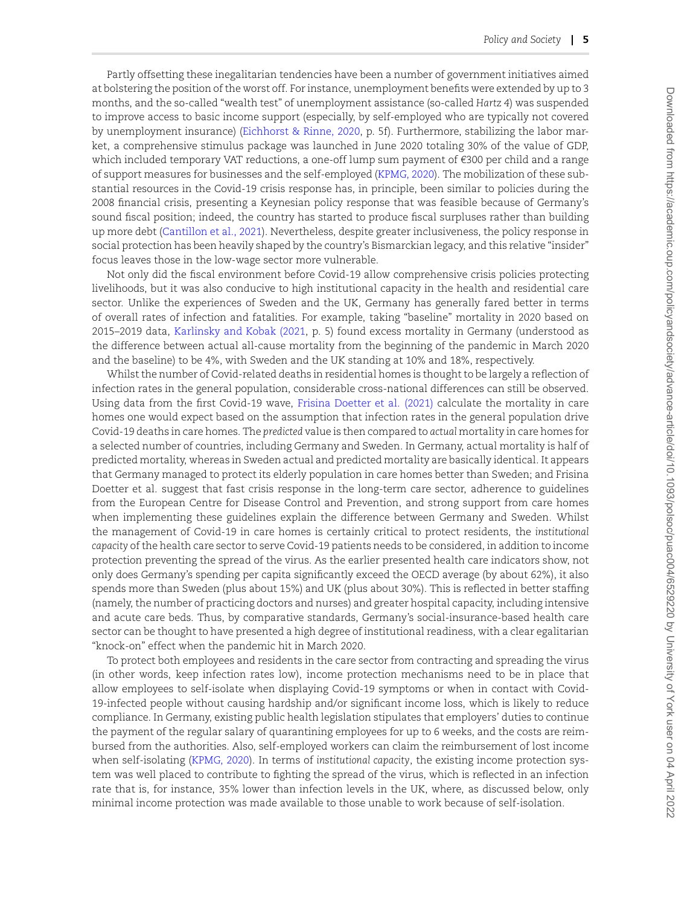Partly offsetting these inegalitarian tendencies have been a number of government initiatives aimed at bolstering the position of the worst off. For instance, unemployment benefits were extended by up to 3 months, and the so-called "wealth test" of unemployment assistance (so-called *Hartz 4*) was suspended to improve access to basic income support (especially, by self-employed who are typically not covered by unemployment insurance) (Eichhorst & Rinne, 2020, p. 5f). Furthermore, stabilizing the labor market, a comprehensive stimulus package was launched in June 2020 totaling 30% of the value of GDP, which included temporary VAT reductions, a one-off lump sum payment of €300 per child and a range of support measures for businesses and the self-employed (KPMG, 2020). The mobilization of these substantial resources in the Covid-19 crisis response has, in principle, been similar to policies during the 2008 financial crisis, presenting a Keynesian policy response that was feasible because of Germany's sound fiscal position; indeed, the country has started to produce fiscal surpluses rather than building up more debt (Cantillon et al., 2021). Nevertheless, despite greater inclusiveness, the policy response in social protection has been heavily shaped by the country's Bismarckian legacy, and this relative "insider" focus leaves those in the low-wage sector more vulnerable.

Not only did the fiscal environment before Covid-19 allow comprehensive crisis policies protecting livelihoods, but it was also conducive to high institutional capacity in the health and residential care sector. Unlike the experiences of Sweden and the UK, Germany has generally fared better in terms of overall rates of infection and fatalities. For example, taking "baseline" mortality in 2020 based on 2015–2019 data, Karlinsky and Kobak (2021, p. 5) found excess mortality in Germany (understood as the difference between actual all-cause mortality from the beginning of the pandemic in March 2020 and the baseline) to be 4%, with Sweden and the UK standing at 10% and 18%, respectively.

Whilst the number of Covid-related deaths in residential homes is thought to be largely a reflection of infection rates in the general population, considerable cross-national differences can still be observed. Using data from the first Covid-19 wave, Frisina Doetter et al. (2021) calculate the mortality in care homes one would expect based on the assumption that infection rates in the general population drive Covid-19 deaths in care homes. The *predicted* value is then compared to *actual* mortality in care homes for a selected number of countries, including Germany and Sweden. In Germany, actual mortality is half of predicted mortality, whereas in Sweden actual and predicted mortality are basically identical. It appears that Germany managed to protect its elderly population in care homes better than Sweden; and Frisina Doetter et al. suggest that fast crisis response in the long-term care sector, adherence to guidelines from the European Centre for Disease Control and Prevention, and strong support from care homes when implementing these guidelines explain the difference between Germany and Sweden. Whilst the management of Covid-19 in care homes is certainly critical to protect residents, the *institutional capacity* of the health care sector to serve Covid-19 patients needs to be considered, in addition to income protection preventing the spread of the virus. As the earlier presented health care indicators show, not only does Germany's spending per capita significantly exceed the OECD average (by about 62%), it also spends more than Sweden (plus about 15%) and UK (plus about 30%). This is reflected in better staffing (namely, the number of practicing doctors and nurses) and greater hospital capacity, including intensive and acute care beds. Thus, by comparative standards, Germany's social-insurance-based health care sector can be thought to have presented a high degree of institutional readiness, with a clear egalitarian "knock-on" effect when the pandemic hit in March 2020.

To protect both employees and residents in the care sector from contracting and spreading the virus (in other words, keep infection rates low), income protection mechanisms need to be in place that allow employees to self-isolate when displaying Covid-19 symptoms or when in contact with Covid-19-infected people without causing hardship and/or significant income loss, which is likely to reduce compliance. In Germany, existing public health legislation stipulates that employers' duties to continue the payment of the regular salary of quarantining employees for up to 6 weeks, and the costs are reimbursed from the authorities. Also, self-employed workers can claim the reimbursement of lost income when self-isolating (KPMG, 2020). In terms of *institutional capacity*, the existing income protection system was well placed to contribute to fighting the spread of the virus, which is reflected in an infection rate that is, for instance, 35% lower than infection levels in the UK, where, as discussed below, only minimal income protection was made available to those unable to work because of self-isolation.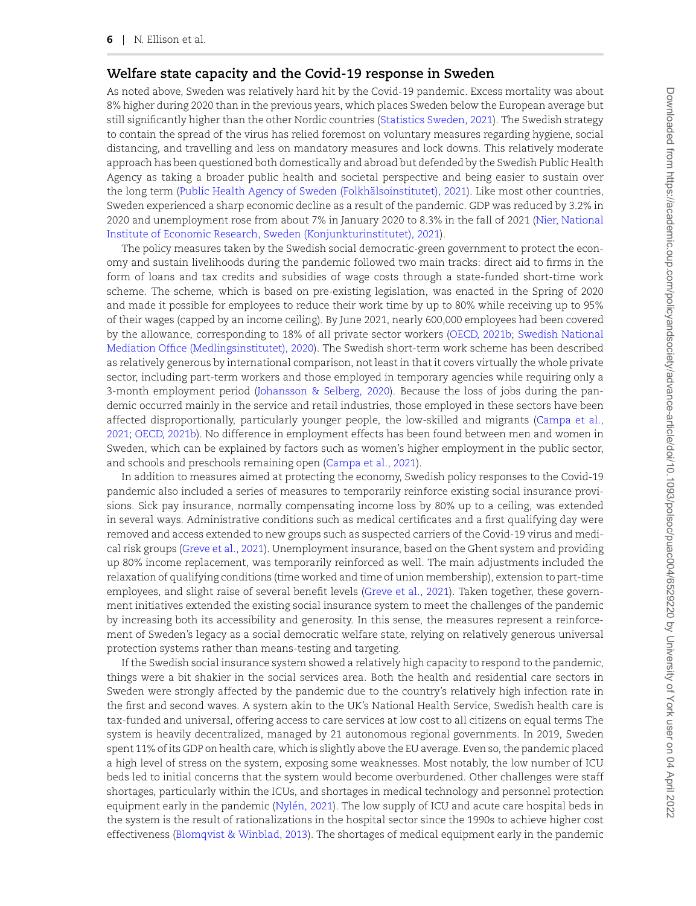## **Welfare state capacity and the Covid-19 response in Sweden**

As noted above, Sweden was relatively hard hit by the Covid-19 pandemic. Excess mortality was about 8% higher during 2020 than in the previous years, which places Sweden below the European average but still significantly higher than the other Nordic countries (Statistics Sweden, 2021). The Swedish strategy to contain the spread of the virus has relied foremost on voluntary measures regarding hygiene, social distancing, and travelling and less on mandatory measures and lock downs. This relatively moderate approach has been questioned both domestically and abroad but defended by the Swedish Public Health Agency as taking a broader public health and societal perspective and being easier to sustain over the long term (Public Health Agency of Sweden (Folkhälsoinstitutet), 2021). Like most other countries, Sweden experienced a sharp economic decline as a result of the pandemic. GDP was reduced by 3.2% in 2020 and unemployment rose from about 7% in January 2020 to 8.3% in the fall of 2021 (Nier, National Institute of Economic Research, Sweden (Konjunkturinstitutet), 2021).

The policy measures taken by the Swedish social democratic-green government to protect the economy and sustain livelihoods during the pandemic followed two main tracks: direct aid to firms in the form of loans and tax credits and subsidies of wage costs through a state-funded short-time work scheme. The scheme, which is based on pre-existing legislation, was enacted in the Spring of 2020 and made it possible for employees to reduce their work time by up to 80% while receiving up to 95% of their wages (capped by an income ceiling). By June 2021, nearly 600,000 employees had been covered by the allowance, corresponding to 18% of all private sector workers (OECD, 2021b; Swedish National Mediation Office (Medlingsinstitutet), 2020). The Swedish short-term work scheme has been described as relatively generous by international comparison, not least in that it covers virtually the whole private sector, including part-term workers and those employed in temporary agencies while requiring only a 3-month employment period (Johansson & Selberg, 2020). Because the loss of jobs during the pandemic occurred mainly in the service and retail industries, those employed in these sectors have been affected disproportionally, particularly younger people, the low-skilled and migrants (Campa et al., 2021; OECD, 2021b). No difference in employment effects has been found between men and women in Sweden, which can be explained by factors such as women's higher employment in the public sector, and schools and preschools remaining open (Campa et al., 2021).

In addition to measures aimed at protecting the economy, Swedish policy responses to the Covid-19 pandemic also included a series of measures to temporarily reinforce existing social insurance provisions. Sick pay insurance, normally compensating income loss by 80% up to a ceiling, was extended in several ways. Administrative conditions such as medical certificates and a first qualifying day were removed and access extended to new groups such as suspected carriers of the Covid-19 virus and medical risk groups (Greve et al., 2021). Unemployment insurance, based on the Ghent system and providing up 80% income replacement, was temporarily reinforced as well. The main adjustments included the relaxation of qualifying conditions (time worked and time of union membership), extension to part-time employees, and slight raise of several benefit levels (Greve et al., 2021). Taken together, these government initiatives extended the existing social insurance system to meet the challenges of the pandemic by increasing both its accessibility and generosity. In this sense, the measures represent a reinforcement of Sweden's legacy as a social democratic welfare state, relying on relatively generous universal protection systems rather than means-testing and targeting.

If the Swedish social insurance system showed a relatively high capacity to respond to the pandemic, things were a bit shakier in the social services area. Both the health and residential care sectors in Sweden were strongly affected by the pandemic due to the country's relatively high infection rate in the first and second waves. A system akin to the UK's National Health Service, Swedish health care is tax-funded and universal, offering access to care services at low cost to all citizens on equal terms The system is heavily decentralized, managed by 21 autonomous regional governments. In 2019, Sweden spent 11% of its GDP on health care, which is slightly above the EU average. Even so, the pandemic placed a high level of stress on the system, exposing some weaknesses. Most notably, the low number of ICU beds led to initial concerns that the system would become overburdened. Other challenges were staff shortages, particularly within the ICUs, and shortages in medical technology and personnel protection equipment early in the pandemic (Nylén, 2021). The low supply of ICU and acute care hospital beds in the system is the result of rationalizations in the hospital sector since the 1990s to achieve higher cost effectiveness (Blomqvist & Winblad, 2013). The shortages of medical equipment early in the pandemic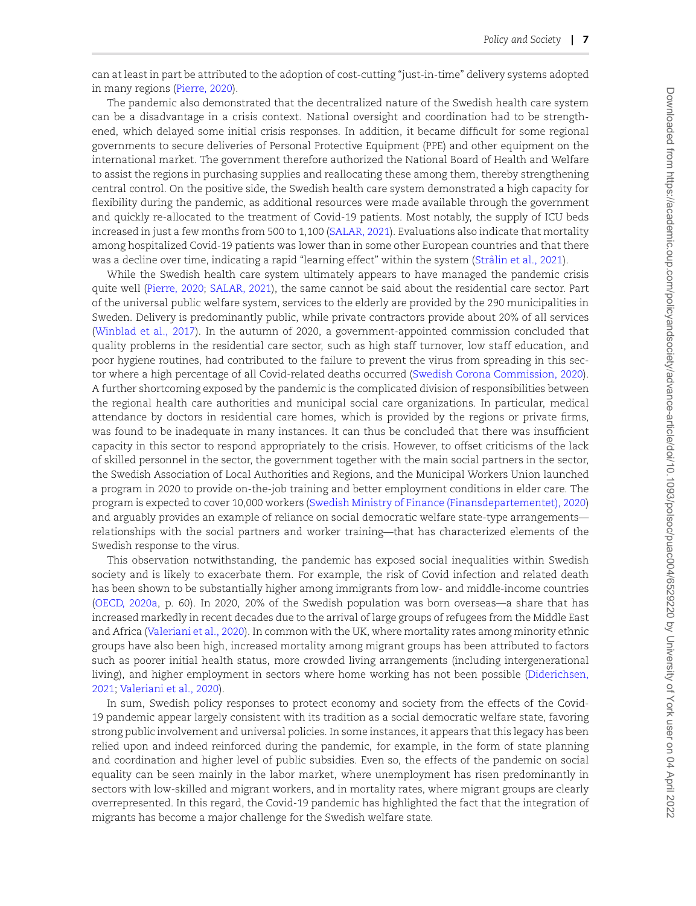can at least in part be attributed to the adoption of cost-cutting "just-in-time" delivery systems adopted in many regions (Pierre, 2020).

The pandemic also demonstrated that the decentralized nature of the Swedish health care system can be a disadvantage in a crisis context. National oversight and coordination had to be strengthened, which delayed some initial crisis responses. In addition, it became difficult for some regional governments to secure deliveries of Personal Protective Equipment (PPE) and other equipment on the international market. The government therefore authorized the National Board of Health and Welfare to assist the regions in purchasing supplies and reallocating these among them, thereby strengthening central control. On the positive side, the Swedish health care system demonstrated a high capacity for flexibility during the pandemic, as additional resources were made available through the government and quickly re-allocated to the treatment of Covid-19 patients. Most notably, the supply of ICU beds increased in just a few months from 500 to 1,100 (SALAR, 2021). Evaluations also indicate that mortality among hospitalized Covid-19 patients was lower than in some other European countries and that there was a decline over time, indicating a rapid "learning effect" within the system (Strålin et al., 2021).

While the Swedish health care system ultimately appears to have managed the pandemic crisis quite well (Pierre, 2020; SALAR, 2021), the same cannot be said about the residential care sector. Part of the universal public welfare system, services to the elderly are provided by the 290 municipalities in Sweden. Delivery is predominantly public, while private contractors provide about 20% of all services (Winblad et al., 2017). In the autumn of 2020, a government-appointed commission concluded that quality problems in the residential care sector, such as high staff turnover, low staff education, and poor hygiene routines, had contributed to the failure to prevent the virus from spreading in this sector where a high percentage of all Covid-related deaths occurred (Swedish Corona Commission, 2020). A further shortcoming exposed by the pandemic is the complicated division of responsibilities between the regional health care authorities and municipal social care organizations. In particular, medical attendance by doctors in residential care homes, which is provided by the regions or private firms, was found to be inadequate in many instances. It can thus be concluded that there was insufficient capacity in this sector to respond appropriately to the crisis. However, to offset criticisms of the lack of skilled personnel in the sector, the government together with the main social partners in the sector, the Swedish Association of Local Authorities and Regions, and the Municipal Workers Union launched a program in 2020 to provide on-the-job training and better employment conditions in elder care. The program is expected to cover 10,000 workers (Swedish Ministry of Finance (Finansdepartementet), 2020) and arguably provides an example of reliance on social democratic welfare state-type arrangements relationships with the social partners and worker training—that has characterized elements of the Swedish response to the virus.

This observation notwithstanding, the pandemic has exposed social inequalities within Swedish society and is likely to exacerbate them. For example, the risk of Covid infection and related death has been shown to be substantially higher among immigrants from low- and middle-income countries (OECD, 2020a, p. 60). In 2020, 20% of the Swedish population was born overseas—a share that has increased markedly in recent decades due to the arrival of large groups of refugees from the Middle East and Africa (Valeriani et al., 2020). In common with the UK, where mortality rates among minority ethnic groups have also been high, increased mortality among migrant groups has been attributed to factors such as poorer initial health status, more crowded living arrangements (including intergenerational living), and higher employment in sectors where home working has not been possible (Diderichsen, 2021; Valeriani et al., 2020).

In sum, Swedish policy responses to protect economy and society from the effects of the Covid-19 pandemic appear largely consistent with its tradition as a social democratic welfare state, favoring strong public involvement and universal policies. In some instances, it appears that this legacy has been relied upon and indeed reinforced during the pandemic, for example, in the form of state planning and coordination and higher level of public subsidies. Even so, the effects of the pandemic on social equality can be seen mainly in the labor market, where unemployment has risen predominantly in sectors with low-skilled and migrant workers, and in mortality rates, where migrant groups are clearly overrepresented. In this regard, the Covid-19 pandemic has highlighted the fact that the integration of migrants has become a major challenge for the Swedish welfare state.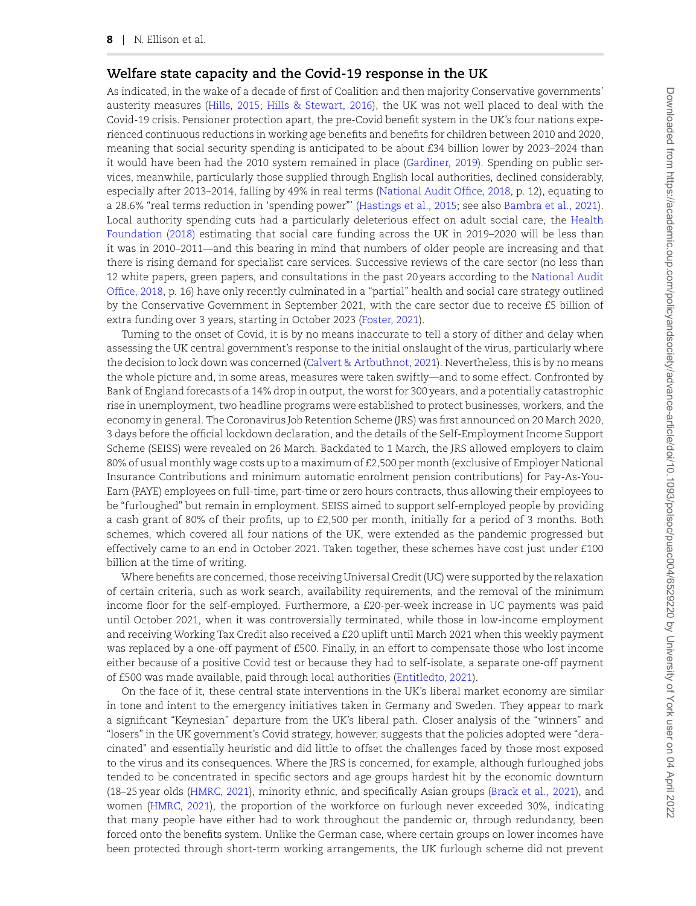## **Welfare state capacity and the Covid-19 response in the UK**

As indicated, in the wake of a decade of first of Coalition and then majority Conservative governments' austerity measures (Hills, 2015; Hills & Stewart, 2016), the UK was not well placed to deal with the Covid-19 crisis. Pensioner protection apart, the pre-Covid benefit system in the UK's four nations experienced continuous reductions in working age benefits and benefits for children between 2010 and 2020, meaning that social security spending is anticipated to be about £34 billion lower by 2023–2024 than it would have been had the 2010 system remained in place (Gardiner, 2019). Spending on public services, meanwhile, particularly those supplied through English local authorities, declined considerably, especially after 2013–2014, falling by 49% in real terms (National Audit Office, 2018, p. 12), equating to a 28.6% "real terms reduction in 'spending power"' (Hastings et al., 2015; see also Bambra et al., 2021). Local authority spending cuts had a particularly deleterious effect on adult social care, the Health Foundation (2018) estimating that social care funding across the UK in 2019–2020 will be less than it was in 2010–2011—and this bearing in mind that numbers of older people are increasing and that there is rising demand for specialist care services. Successive reviews of the care sector (no less than 12 white papers, green papers, and consultations in the past 20 years according to the National Audit Office, 2018, p. 16) have only recently culminated in a "partial" health and social care strategy outlined by the Conservative Government in September 2021, with the care sector due to receive £5 billion of extra funding over 3 years, starting in October 2023 (Foster, 2021).

Turning to the onset of Covid, it is by no means inaccurate to tell a story of dither and delay when assessing the UK central government's response to the initial onslaught of the virus, particularly where the decision to lock down was concerned (Calvert & Artbuthnot, 2021). Nevertheless, this is by no means the whole picture and, in some areas, measures were taken swiftly—and to some effect. Confronted by Bank of England forecasts of a 14% drop in output, the worst for 300 years, and a potentially catastrophic rise in unemployment, two headline programs were established to protect businesses, workers, and the economy in general. The Coronavirus Job Retention Scheme (JRS) was first announced on 20 March 2020, 3 days before the official lockdown declaration, and the details of the Self-Employment Income Support Scheme (SEISS) were revealed on 26 March. Backdated to 1 March, the JRS allowed employers to claim 80% of usual monthly wage costs up to a maximum of £2,500 per month (exclusive of Employer National Insurance Contributions and minimum automatic enrolment pension contributions) for Pay-As-You-Earn (PAYE) employees on full-time, part-time or zero hours contracts, thus allowing their employees to be "furloughed" but remain in employment. SEISS aimed to support self-employed people by providing a cash grant of 80% of their profits, up to £2,500 per month, initially for a period of 3 months. Both schemes, which covered all four nations of the UK, were extended as the pandemic progressed but effectively came to an end in October 2021. Taken together, these schemes have cost just under £100 billion at the time of writing.

Where benefits are concerned, those receiving Universal Credit (UC) were supported by the relaxation of certain criteria, such as work search, availability requirements, and the removal of the minimum income floor for the self-employed. Furthermore, a £20-per-week increase in UC payments was paid until October 2021, when it was controversially terminated, while those in low-income employment and receiving Working Tax Credit also received a £20 uplift until March 2021 when this weekly payment was replaced by a one-off payment of £500. Finally, in an effort to compensate those who lost income either because of a positive Covid test or because they had to self-isolate, a separate one-off payment of £500 was made available, paid through local authorities (Entitledto, 2021).

On the face of it, these central state interventions in the UK's liberal market economy are similar in tone and intent to the emergency initiatives taken in Germany and Sweden. They appear to mark a significant "Keynesian" departure from the UK's liberal path. Closer analysis of the "winners" and "losers" in the UK government's Covid strategy, however, suggests that the policies adopted were "deracinated" and essentially heuristic and did little to offset the challenges faced by those most exposed to the virus and its consequences. Where the JRS is concerned, for example, although furloughed jobs tended to be concentrated in specific sectors and age groups hardest hit by the economic downturn (18–25 year olds (HMRC, 2021), minority ethnic, and specifically Asian groups (Brack et al., 2021), and women (HMRC, 2021), the proportion of the workforce on furlough never exceeded 30%, indicating that many people have either had to work throughout the pandemic or, through redundancy, been forced onto the benefits system. Unlike the German case, where certain groups on lower incomes have been protected through short-term working arrangements, the UK furlough scheme did not prevent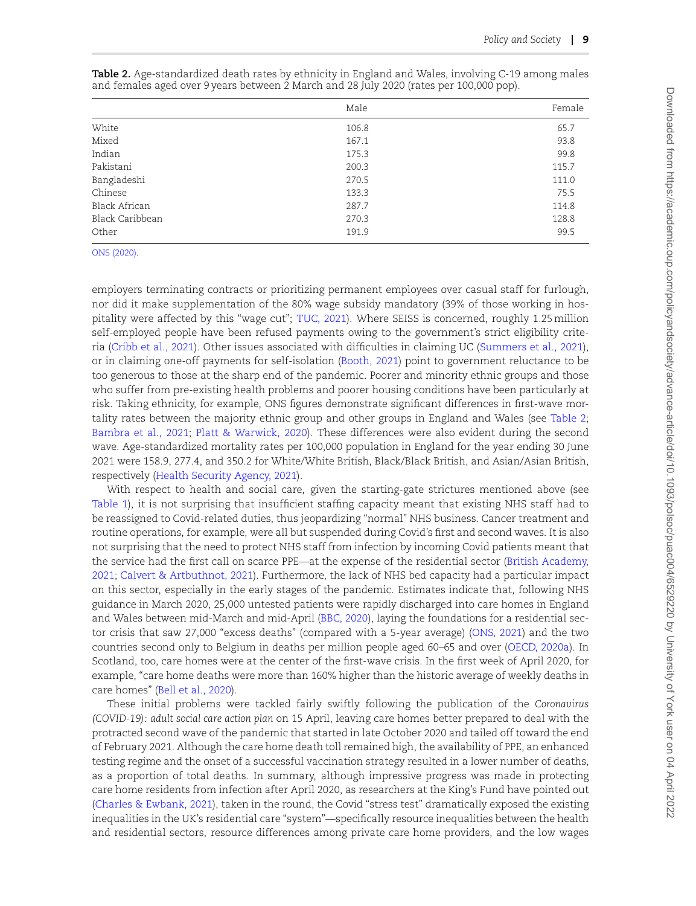|                 | Male  | Female |
|-----------------|-------|--------|
| White           | 106.8 | 65.7   |
| Mixed           | 167.1 | 93.8   |
| Indian          | 175.3 | 99.8   |
| Pakistani       | 200.3 | 115.7  |
| Bangladeshi     | 270.5 | 111.0  |
| Chinese         | 133.3 | 75.5   |
| Black African   | 287.7 | 114.8  |
| Black Caribbean | 270.3 | 128.8  |
| Other           | 191.9 | 99.5   |

|  |  |  |  |                                                                                         | <b>Table 2.</b> Age-standardized death rates by ethnicity in England and Wales, involving C-19 among males |  |
|--|--|--|--|-----------------------------------------------------------------------------------------|------------------------------------------------------------------------------------------------------------|--|
|  |  |  |  | and females aged over 9 years between 2 March and 28 July 2020 (rates per 100,000 pop). |                                                                                                            |  |

ONS (2020).

employers terminating contracts or prioritizing permanent employees over casual staff for furlough, nor did it make supplementation of the 80% wage subsidy mandatory (39% of those working in hospitality were affected by this "wage cut"; TUC, 2021). Where SEISS is concerned, roughly 1.25 million self-employed people have been refused payments owing to the government's strict eligibility criteria (Cribb et al., 2021). Other issues associated with difficulties in claiming UC (Summers et al., 2021), or in claiming one-off payments for self-isolation (Booth, 2021) point to government reluctance to be too generous to those at the sharp end of the pandemic. Poorer and minority ethnic groups and those who suffer from pre-existing health problems and poorer housing conditions have been particularly at risk. Taking ethnicity, for example, ONS figures demonstrate significant differences in first-wave mortality rates between the majority ethnic group and other groups in England and Wales (see Table 2; Bambra et al., 2021; Platt & Warwick, 2020). These differences were also evident during the second wave. Age-standardized mortality rates per 100,000 population in England for the year ending 30 June 2021 were 158.9, 277.4, and 350.2 for White/White British, Black/Black British, and Asian/Asian British, respectively (Health Security Agency, 2021).

With respect to health and social care, given the starting-gate strictures mentioned above (see Table 1), it is not surprising that insufficient staffing capacity meant that existing NHS staff had to be reassigned to Covid-related duties, thus jeopardizing "normal" NHS business. Cancer treatment and routine operations, for example, were all but suspended during Covid's first and second waves. It is also not surprising that the need to protect NHS staff from infection by incoming Covid patients meant that the service had the first call on scarce PPE—at the expense of the residential sector (British Academy, 2021; Calvert & Artbuthnot, 2021). Furthermore, the lack of NHS bed capacity had a particular impact on this sector, especially in the early stages of the pandemic. Estimates indicate that, following NHS guidance in March 2020, 25,000 untested patients were rapidly discharged into care homes in England and Wales between mid-March and mid-April (BBC, 2020), laying the foundations for a residential sector crisis that saw 27,000 "excess deaths" (compared with a 5-year average) (ONS, 2021) and the two countries second only to Belgium in deaths per million people aged 60–65 and over (OECD, 2020a). In Scotland, too, care homes were at the center of the first-wave crisis. In the first week of April 2020, for example, "care home deaths were more than 160% higher than the historic average of weekly deaths in care homes" (Bell et al., 2020).

These initial problems were tackled fairly swiftly following the publication of the *Coronavirus (COVID-19): adult social care action plan* on 15 April, leaving care homes better prepared to deal with the protracted second wave of the pandemic that started in late October 2020 and tailed off toward the end of February 2021. Although the care home death toll remained high, the availability of PPE, an enhanced testing regime and the onset of a successful vaccination strategy resulted in a lower number of deaths, as a proportion of total deaths. In summary, although impressive progress was made in protecting care home residents from infection after April 2020, as researchers at the King's Fund have pointed out (Charles & Ewbank, 2021), taken in the round, the Covid "stress test" dramatically exposed the existing inequalities in the UK's residential care "system"—specifically resource inequalities between the health and residential sectors, resource differences among private care home providers, and the low wages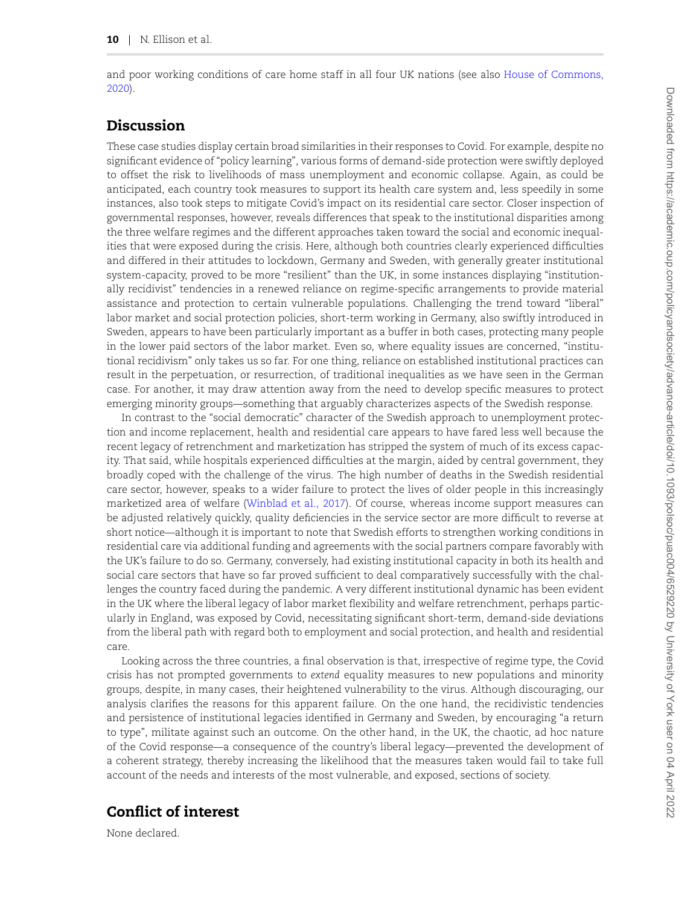and poor working conditions of care home staff in all four UK nations (see also House of Commons, 2020).

# Discussion

These case studies display certain broad similarities in their responses to Covid. For example, despite no significant evidence of "policy learning", various forms of demand-side protection were swiftly deployed to offset the risk to livelihoods of mass unemployment and economic collapse. Again, as could be anticipated, each country took measures to support its health care system and, less speedily in some instances, also took steps to mitigate Covid's impact on its residential care sector. Closer inspection of governmental responses, however, reveals differences that speak to the institutional disparities among the three welfare regimes and the different approaches taken toward the social and economic inequalities that were exposed during the crisis. Here, although both countries clearly experienced difficulties and differed in their attitudes to lockdown, Germany and Sweden, with generally greater institutional system-capacity, proved to be more "resilient" than the UK, in some instances displaying "institutionally recidivist" tendencies in a renewed reliance on regime-specific arrangements to provide material assistance and protection to certain vulnerable populations. Challenging the trend toward "liberal" labor market and social protection policies, short-term working in Germany, also swiftly introduced in Sweden, appears to have been particularly important as a buffer in both cases, protecting many people in the lower paid sectors of the labor market. Even so, where equality issues are concerned, "institutional recidivism" only takes us so far. For one thing, reliance on established institutional practices can result in the perpetuation, or resurrection, of traditional inequalities as we have seen in the German case. For another, it may draw attention away from the need to develop specific measures to protect emerging minority groups—something that arguably characterizes aspects of the Swedish response.

In contrast to the "social democratic" character of the Swedish approach to unemployment protection and income replacement, health and residential care appears to have fared less well because the recent legacy of retrenchment and marketization has stripped the system of much of its excess capacity. That said, while hospitals experienced difficulties at the margin, aided by central government, they broadly coped with the challenge of the virus. The high number of deaths in the Swedish residential care sector, however, speaks to a wider failure to protect the lives of older people in this increasingly marketized area of welfare (Winblad et al., 2017). Of course, whereas income support measures can be adjusted relatively quickly, quality deficiencies in the service sector are more difficult to reverse at short notice—although it is important to note that Swedish efforts to strengthen working conditions in residential care via additional funding and agreements with the social partners compare favorably with the UK's failure to do so. Germany, conversely, had existing institutional capacity in both its health and social care sectors that have so far proved sufficient to deal comparatively successfully with the challenges the country faced during the pandemic. A very different institutional dynamic has been evident in the UK where the liberal legacy of labor market flexibility and welfare retrenchment, perhaps particularly in England, was exposed by Covid, necessitating significant short-term, demand-side deviations from the liberal path with regard both to employment and social protection, and health and residential care.

Looking across the three countries, a final observation is that, irrespective of regime type, the Covid crisis has not prompted governments to *extend* equality measures to new populations and minority groups, despite, in many cases, their heightened vulnerability to the virus. Although discouraging, our analysis clarifies the reasons for this apparent failure. On the one hand, the recidivistic tendencies and persistence of institutional legacies identified in Germany and Sweden, by encouraging "a return to type", militate against such an outcome. On the other hand, in the UK, the chaotic, ad hoc nature of the Covid response—a consequence of the country's liberal legacy—prevented the development of a coherent strategy, thereby increasing the likelihood that the measures taken would fail to take full account of the needs and interests of the most vulnerable, and exposed, sections of society.

# Conflict of interest

None declared.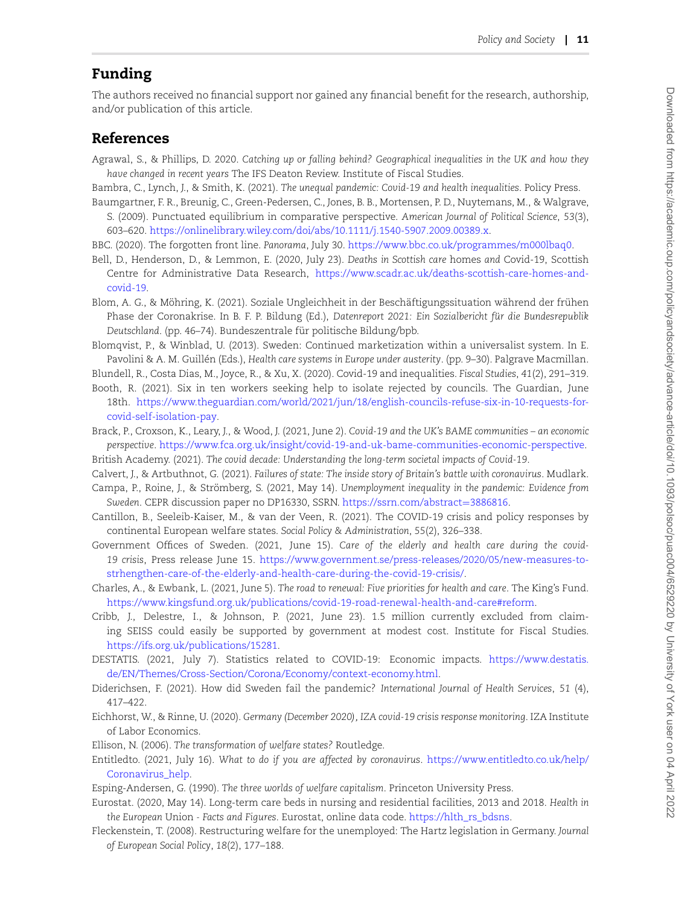# Funding

The authors received no financial support nor gained any financial benefit for the research, authorship, and/or publication of this article.

### References

Agrawal, S., & Phillips, D. 2020. *Catching up or falling behind? Geographical inequalities in the UK and how they have changed in recent years* The IFS Deaton Review. Institute of Fiscal Studies.

Bambra, C., Lynch, J., & Smith, K. (2021). *The unequal pandemic: Covid-19 and health inequalities*. Policy Press. Baumgartner, F. R., Breunig, C., Green-Pedersen, C., Jones, B. B., Mortensen, P. D., Nuytemans, M., & Walgrave,

- S. (2009). Punctuated equilibrium in comparative perspective. *American Journal of Political Science*, *53*(3), 603–620. https://onlinelibrary.wiley.com/doi/abs/10.1111/j.1540-5907.2009.00389.x.
- BBC. (2020). The forgotten front line. *Panorama*, July 30. https://www.bbc.co.uk/programmes/m000lbaq0.
- Bell, D., Henderson, D., & Lemmon, E. (2020, July 23). *Deaths in Scottish care* homes *and* Covid-19, Scottish Centre for Administrative Data Research, https://www.scadr.ac.uk/deaths-scottish-care-homes-andcovid-19.

Blom, A. G., & Möhring, K. (2021). Soziale Ungleichheit in der Beschäftigungssituation während der frühen Phase der Coronakrise. In B. F. P. Bildung (Ed.), *Datenreport 2021: Ein Sozialbericht fur die Bundesrepublik* ¨ Deutschland. (pp. 46–74). Bundeszentrale für politische Bildung/bpb.

Blomqvist, P., & Winblad, U. (2013). Sweden: Continued marketization within a universalist system. In E. Pavolini & A. M. Guillén (Eds.), *Health care systems in Europe under austerity*. (pp. 9–30). Palgrave Macmillan.

Blundell, R., Costa Dias, M., Joyce, R., & Xu, X. (2020). Covid-19 and inequalities. *Fiscal Studies*, *41*(2), 291–319.

- Booth, R. (2021). Six in ten workers seeking help to isolate rejected by councils. The Guardian, June 18th. https://www.theguardian.com/world/2021/jun/18/english-councils-refuse-six-in-10-requests-forcovid-self-isolation-pay.
- Brack, P., Croxson, K., Leary, J., & Wood, J. (2021, June 2). *Covid-19 and the UK's BAME communities an economic perspective*. https://www.fca.org.uk/insight/covid-19-and-uk-bame-communities-economic-perspective.

British Academy. (2021). *The covid decade: Understanding the long-term societal impacts of Covid-19*.

Calvert, J., & Artbuthnot, G. (2021). *Failures of state: The inside story of Britain's battle with coronavirus*. Mudlark.

- Campa, P., Roine, J., & Strömberg, S. (2021, May 14). *Unemployment inequality in the pandemic: Evidence from* Sweden. CEPR discussion paper no DP16330, SSRN. https://ssrn.com/abstract=3886816.
- Cantillon, B., Seeleib-Kaiser, M., & van der Veen, R. (2021). The COVID-19 crisis and policy responses by continental European welfare states. *Social Policy & Administration*, *55*(2), 326–338.
- Government Offices of Sweden. (2021, June 15). *Care of the elderly and health care during the covid-19 crisis*, Press release June 15. https://www.government.se/press-releases/2020/05/new-measures-tostrhengthen-care-of-the-elderly-and-health-care-during-the-covid-19-crisis/.

Charles, A., & Ewbank, L. (2021, June 5). *The road to renewal: Five priorities for health and care*. The King's Fund. https://www.kingsfund.org.uk/publications/covid-19-road-renewal-health-and-care#reform.

Cribb, J., Delestre, I., & Johnson, P. (2021, June 23). 1.5 million currently excluded from claiming SEISS could easily be supported by government at modest cost. Institute for Fiscal Studies. https://ifs.org.uk/publications/15281.

DESTATIS. (2021, July 7). Statistics related to COVID-19: Economic impacts. https://www.destatis. de/EN/Themes/Cross-Section/Corona/Economy/context-economy.html.

Diderichsen, F. (2021). How did Sweden fail the pandemic? *International Journal of Health Services*, *51* (4), 417–422.

Eichhorst, W., & Rinne, U. (2020). *Germany (December 2020), IZA covid-19 crisis response monitoring*. IZA Institute of Labor Economics.

- Ellison, N. (2006). *The transformation of welfare states?* Routledge.
- Entitledto. (2021, July 16). *What to do if you are affected by coronavirus*. https://www.entitledto.co.uk/help/ Coronavirus help.
- Esping-Andersen, G. (1990). *The three worlds of welfare capitalism*. Princeton University Press.
- Eurostat. (2020, May 14). Long-term care beds in nursing and residential facilities, 2013 and 2018. *Health in the European* Union *- Facts and Figures*. Eurostat, online data code. https://hlth\_rs\_bdsns.
- Fleckenstein, T. (2008). Restructuring welfare for the unemployed: The Hartz legislation in Germany. *Journal of European Social Policy*, *18*(2), 177–188.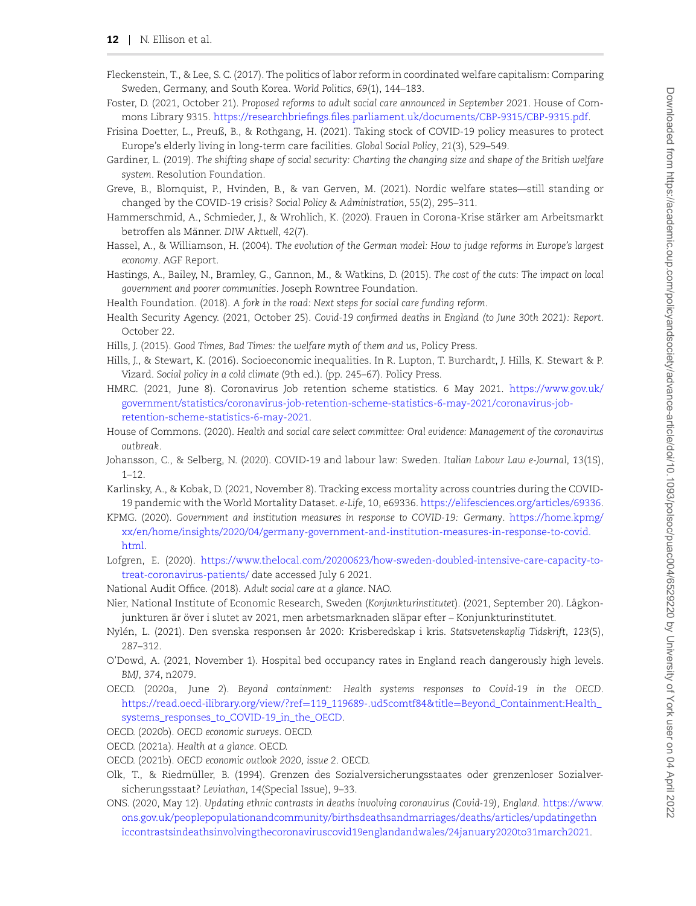- Fleckenstein, T., & Lee, S. C. (2017). The politics of labor reform in coordinated welfare capitalism: Comparing Sweden, Germany, and South Korea. *World Politics*, *69*(1), 144–183.
- Foster, D. (2021, October 21). *Proposed reforms to adult social care announced in September 2021*. House of Commons Library 9315. https://researchbriefings.files.parliament.uk/documents/CBP-9315/CBP-9315.pdf.
- Frisina Doetter, L., Preuß, B., & Rothgang, H. (2021). Taking stock of COVID-19 policy measures to protect Europe's elderly living in long-term care facilities. *Global Social Policy*, *21*(3), 529–549.
- Gardiner, L. (2019). *The shifting shape of social security: Charting the changing size and shape of the British welfare system*. Resolution Foundation.
- Greve, B., Blomquist, P., Hvinden, B., & van Gerven, M. (2021). Nordic welfare states—still standing or changed by the COVID-19 crisis? *Social Policy & Administration*, *55*(2), 295–311.
- Hammerschmid, A., Schmieder, J., & Wrohlich, K. (2020). Frauen in Corona-Krise starker am Arbeitsmarkt ¨ betroffen als Männer. DIW Aktuell, 42(7).
- Hassel, A., & Williamson, H. (2004). T*he evolution of the German model: How to judge reforms in Europe's largest economy*. AGF Report.
- Hastings, A., Bailey, N., Bramley, G., Gannon, M., & Watkins, D. (2015). *The cost of the cuts: The impact on local government and poorer communities*. Joseph Rowntree Foundation.
- Health Foundation. (2018). *A fork in the road: Next steps for social care funding reform*.
- Health Security Agency. (2021, October 25). *Covid-19 confirmed deaths in England (to June 30th 2021): Report*. October 22.
- Hills, J. (2015). *Good Times, Bad Times: the welfare myth of them and us*, Policy Press.
- Hills, J., & Stewart, K. (2016). Socioeconomic inequalities. In R. Lupton, T. Burchardt, J. Hills, K. Stewart & P. Vizard. *Social policy in a cold climate* (9th ed.). (pp. 245–67). Policy Press.
- HMRC. (2021, June 8). Coronavirus Job retention scheme statistics. 6 May 2021. https://www.gov.uk/ government/statistics/coronavirus-job-retention-scheme-statistics-6-may-2021/coronavirus-jobretention-scheme-statistics-6-may-2021.
- House of Commons. (2020). *Health and social care select committee: Oral evidence: Management of the coronavirus outbreak*.
- Johansson, C., & Selberg, N. (2020). COVID-19 and labour law: Sweden. *Italian Labour Law e-Journal*, *13*(1S), 1–12.
- Karlinsky, A., & Kobak, D. (2021, November 8). Tracking excess mortality across countries during the COVID-19 pandemic with the World Mortality Dataset. *e-Life*, 10, e69336. https://elifesciences.org/articles/69336.
- KPMG. (2020). *Government and institution measures in response to COVID-19: Germany*. https://home.kpmg/ xx/en/home/insights/2020/04/germany-government-and-institution-measures-in-response-to-covid. html. er and the main state of the state of the main state of the main state of the state of the state of the state of the state of the state of the state of the state of the state of the state of the state of the state of the
- Lofgren, E. (2020). https://www.thelocal.com/20200623/how-sweden-doubled-intensive-care-capacity-totreat-coronavirus-patients/ date accessed July 6 2021.
- National Audit Office. (2018). *Adult social care at a glance*. NAO.
- Nier, National Institute of Economic Research, Sweden (*Konjunkturinstitutet*). (2021, September 20). Lågkonjunkturen är över i slutet av 2021, men arbetsmarknaden släpar efter – Konjunkturinstitutet.
- Nylen, L. (2021). Den svenska responsen år 2020: Krisberedskap i kris. ´ *Statsvetenskaplig Tidskrift*, *123*(5), 287–312.
- O'Dowd, A. (2021, November 1). Hospital bed occupancy rates in England reach dangerously high levels. *BMJ*, *374*, n2079.
- OECD. (2020a, June 2). *Beyond containment: Health systems responses to Covid-19 in the OECD*. https://read.oecd-ilibrary.org/view/?ref=119\_119689-.ud5comtf84&title=Beyond\_Containment:Health\_ systems\_responses\_to\_COVID-19\_in\_the\_OECD.
- OECD. (2020b). *OECD economic surveys*. OECD.
- OECD. (2021a). *Health at a glance*. OECD.
- OECD. (2021b). *OECD economic outlook 2020, issue 2*. OECD.
- Olk, T., & Riedmuller, B. (1994). Grenzen des Sozialversicherungsstaates oder grenzenloser Sozialver- ¨ sicherungsstaat? *Leviathan*, *14*(Special Issue), 9–33.
- ONS. (2020, May 12). *Updating ethnic contrasts in deaths involving coronavirus (Covid-19), England*. https://www. ons.gov.uk/peoplepopulationandcommunity/birthsdeathsandmarriages/deaths/articles/updatingethn